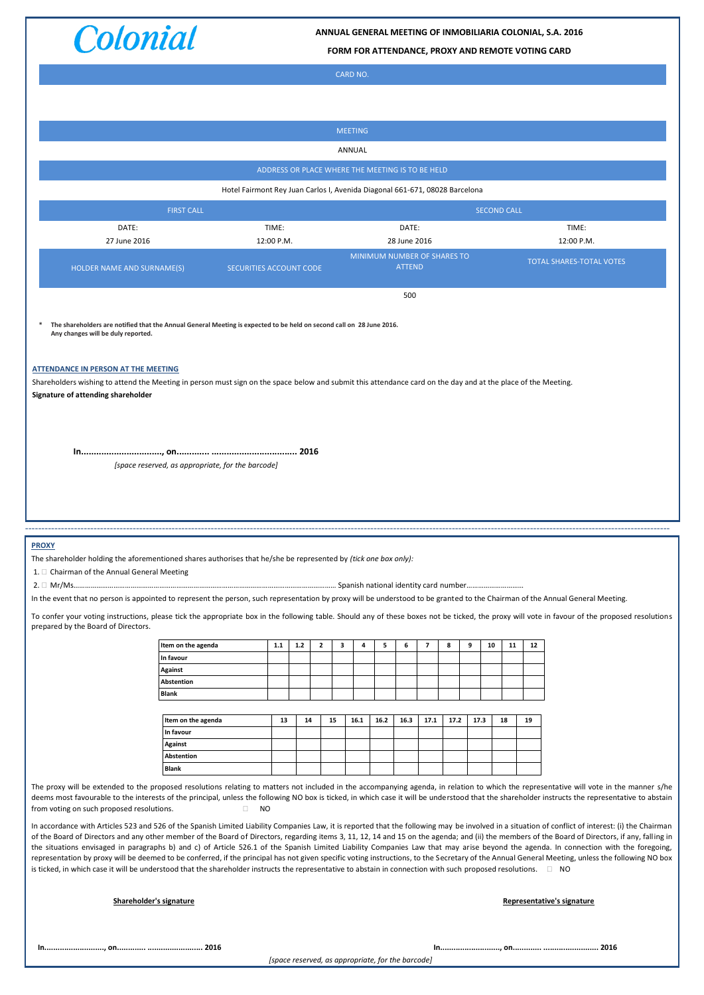

**ANNUAL GENERAL MEETING OF INMOBILIARIA COLONIAL, S.A. 2016**

**FORM FOR ATTENDANCE, PROXY AND REMOTE VOTING CARD**

CARD NO.

|                                                                                                                                                                                                                                                                                                                                                                                          |                                                                                                                      |            |       |              |    | <b>MEETING</b> |      |               |                          |                             |      |                    |    |                                                                                                                                                                                                    |
|------------------------------------------------------------------------------------------------------------------------------------------------------------------------------------------------------------------------------------------------------------------------------------------------------------------------------------------------------------------------------------------|----------------------------------------------------------------------------------------------------------------------|------------|-------|--------------|----|----------------|------|---------------|--------------------------|-----------------------------|------|--------------------|----|----------------------------------------------------------------------------------------------------------------------------------------------------------------------------------------------------|
| ANNUAL                                                                                                                                                                                                                                                                                                                                                                                   |                                                                                                                      |            |       |              |    |                |      |               |                          |                             |      |                    |    |                                                                                                                                                                                                    |
| ADDRESS OR PLACE WHERE THE MEETING IS TO BE HELD                                                                                                                                                                                                                                                                                                                                         |                                                                                                                      |            |       |              |    |                |      |               |                          |                             |      |                    |    |                                                                                                                                                                                                    |
| Hotel Fairmont Rey Juan Carlos I, Avenida Diagonal 661-671, 08028 Barcelona                                                                                                                                                                                                                                                                                                              |                                                                                                                      |            |       |              |    |                |      |               |                          |                             |      |                    |    |                                                                                                                                                                                                    |
|                                                                                                                                                                                                                                                                                                                                                                                          | <b>FIRST CALL</b>                                                                                                    |            |       |              |    |                |      |               |                          |                             |      | <b>SECOND CALL</b> |    |                                                                                                                                                                                                    |
| DATE:                                                                                                                                                                                                                                                                                                                                                                                    |                                                                                                                      | TIME:      |       |              |    |                |      | DATE:         |                          |                             |      |                    |    | TIME:                                                                                                                                                                                              |
| 27 June 2016                                                                                                                                                                                                                                                                                                                                                                             |                                                                                                                      | 12:00 P.M. |       |              |    |                |      | 28 June 2016  |                          | MINIMUM NUMBER OF SHARES TO |      |                    |    | 12:00 P.M.                                                                                                                                                                                         |
| HOLDER NAME AND SURNAME(S)                                                                                                                                                                                                                                                                                                                                                               | SECURITIES ACCOUNT CODE                                                                                              |            |       |              |    |                |      | <b>ATTEND</b> |                          |                             |      |                    |    | <b>TOTAL SHARES-TOTAL VOTES</b>                                                                                                                                                                    |
|                                                                                                                                                                                                                                                                                                                                                                                          |                                                                                                                      |            |       |              |    |                |      | 500           |                          |                             |      |                    |    |                                                                                                                                                                                                    |
|                                                                                                                                                                                                                                                                                                                                                                                          |                                                                                                                      |            |       |              |    |                |      |               |                          |                             |      |                    |    |                                                                                                                                                                                                    |
| Any changes will be duly reported.                                                                                                                                                                                                                                                                                                                                                       | The shareholders are notified that the Annual General Meeting is expected to be held on second call on 28 June 2016. |            |       |              |    |                |      |               |                          |                             |      |                    |    |                                                                                                                                                                                                    |
|                                                                                                                                                                                                                                                                                                                                                                                          |                                                                                                                      |            |       |              |    |                |      |               |                          |                             |      |                    |    |                                                                                                                                                                                                    |
| <b>ATTENDANCE IN PERSON AT THE MEETING</b>                                                                                                                                                                                                                                                                                                                                               |                                                                                                                      |            |       |              |    |                |      |               |                          |                             |      |                    |    |                                                                                                                                                                                                    |
| Shareholders wishing to attend the Meeting in person must sign on the space below and submit this attendance card on the day and at the place of the Meeting.                                                                                                                                                                                                                            |                                                                                                                      |            |       |              |    |                |      |               |                          |                             |      |                    |    |                                                                                                                                                                                                    |
| Signature of attending shareholder                                                                                                                                                                                                                                                                                                                                                       |                                                                                                                      |            |       |              |    |                |      |               |                          |                             |      |                    |    |                                                                                                                                                                                                    |
|                                                                                                                                                                                                                                                                                                                                                                                          |                                                                                                                      |            |       |              |    |                |      |               |                          |                             |      |                    |    |                                                                                                                                                                                                    |
|                                                                                                                                                                                                                                                                                                                                                                                          |                                                                                                                      |            |       |              |    |                |      |               |                          |                             |      |                    |    |                                                                                                                                                                                                    |
|                                                                                                                                                                                                                                                                                                                                                                                          | [space reserved, as appropriate, for the barcode]                                                                    |            |       |              |    |                |      |               |                          |                             |      |                    |    |                                                                                                                                                                                                    |
|                                                                                                                                                                                                                                                                                                                                                                                          |                                                                                                                      |            |       |              |    |                |      |               |                          |                             |      |                    |    |                                                                                                                                                                                                    |
|                                                                                                                                                                                                                                                                                                                                                                                          |                                                                                                                      |            |       |              |    |                |      |               |                          |                             |      |                    |    |                                                                                                                                                                                                    |
|                                                                                                                                                                                                                                                                                                                                                                                          |                                                                                                                      |            |       |              |    |                |      |               |                          |                             |      |                    |    |                                                                                                                                                                                                    |
| <b>PROXY</b>                                                                                                                                                                                                                                                                                                                                                                             |                                                                                                                      |            |       |              |    |                |      |               |                          |                             |      |                    |    |                                                                                                                                                                                                    |
| The shareholder holding the aforementioned shares authorises that he/she be represented by (tick one box only):                                                                                                                                                                                                                                                                          |                                                                                                                      |            |       |              |    |                |      |               |                          |                             |      |                    |    |                                                                                                                                                                                                    |
| 1. Chairman of the Annual General Meeting                                                                                                                                                                                                                                                                                                                                                |                                                                                                                      |            |       |              |    |                |      |               |                          |                             |      |                    |    |                                                                                                                                                                                                    |
| In the event that no person is appointed to represent the person, such representation by proxy will be understood to be granted to the Chairman of the Annual General Meeting.                                                                                                                                                                                                           |                                                                                                                      |            |       |              |    |                |      |               |                          |                             |      |                    |    |                                                                                                                                                                                                    |
|                                                                                                                                                                                                                                                                                                                                                                                          |                                                                                                                      |            |       |              |    |                |      |               |                          |                             |      |                    |    | To confer your voting instructions, please tick the appropriate box in the following table. Should any of these boxes not be ticked, the proxy will vote in favour of the proposed resolutions     |
| prepared by the Board of Directors.                                                                                                                                                                                                                                                                                                                                                      |                                                                                                                      |            |       |              |    |                |      |               |                          |                             |      |                    |    |                                                                                                                                                                                                    |
|                                                                                                                                                                                                                                                                                                                                                                                          | Item on the agenda<br>In favour                                                                                      | $1.1$      | $1.2$ | $\mathbf{2}$ | 3  | 4              | 5    | 6             | $\overline{\phantom{a}}$ | 8                           | 9    | 10<br>11           | 12 |                                                                                                                                                                                                    |
|                                                                                                                                                                                                                                                                                                                                                                                          | Against                                                                                                              |            |       |              |    |                |      |               |                          |                             |      |                    |    |                                                                                                                                                                                                    |
|                                                                                                                                                                                                                                                                                                                                                                                          | Abstention<br><b>Blank</b>                                                                                           |            |       |              |    |                |      |               |                          |                             |      |                    |    |                                                                                                                                                                                                    |
|                                                                                                                                                                                                                                                                                                                                                                                          |                                                                                                                      |            |       |              |    |                |      |               |                          |                             |      |                    |    |                                                                                                                                                                                                    |
|                                                                                                                                                                                                                                                                                                                                                                                          | Item on the agenda<br>In favour                                                                                      | 13         | 14    |              | 15 | 16.1           | 16.2 | 16.3          | 17.1                     | 17.2                        | 17.3 | 18                 | 19 |                                                                                                                                                                                                    |
|                                                                                                                                                                                                                                                                                                                                                                                          | Against                                                                                                              |            |       |              |    |                |      |               |                          |                             |      |                    |    |                                                                                                                                                                                                    |
|                                                                                                                                                                                                                                                                                                                                                                                          | Abstention<br><b>Blank</b>                                                                                           |            |       |              |    |                |      |               |                          |                             |      |                    |    |                                                                                                                                                                                                    |
|                                                                                                                                                                                                                                                                                                                                                                                          |                                                                                                                      |            |       |              |    |                |      |               |                          |                             |      |                    |    | The proxy will be extended to the proposed resolutions relating to matters not included in the accompanying agenda, in relation to which the representative will vote in the manner s/he           |
| from voting on such proposed resolutions.                                                                                                                                                                                                                                                                                                                                                | $\Box$ NO                                                                                                            |            |       |              |    |                |      |               |                          |                             |      |                    |    | deems most favourable to the interests of the principal, unless the following NO box is ticked, in which case it will be understood that the shareholder instructs the representative to abstain   |
|                                                                                                                                                                                                                                                                                                                                                                                          |                                                                                                                      |            |       |              |    |                |      |               |                          |                             |      |                    |    | In accordance with Articles 523 and 526 of the Spanish Limited Liability Companies Law, it is reported that the following may be involved in a situation of conflict of interest: (i) the Chairman |
|                                                                                                                                                                                                                                                                                                                                                                                          |                                                                                                                      |            |       |              |    |                |      |               |                          |                             |      |                    |    | of the Board of Directors and any other member of the Board of Directors, regarding items 3, 11, 12, 14 and 15 on the agenda; and (ii) the members of the Board of Directors, if any, falling in   |
| the situations envisaged in paragraphs b) and c) of Article 526.1 of the Spanish Limited Liability Companies Law that may arise beyond the agenda. In connection with the foregoing,<br>representation by proxy will be deemed to be conferred, if the principal has not given specific voting instructions, to the Secretary of the Annual General Meeting, unless the following NO box |                                                                                                                      |            |       |              |    |                |      |               |                          |                             |      |                    |    |                                                                                                                                                                                                    |
| is ticked, in which case it will be understood that the shareholder instructs the representative to abstain in connection with such proposed resolutions. $\square$ NO                                                                                                                                                                                                                   |                                                                                                                      |            |       |              |    |                |      |               |                          |                             |      |                    |    |                                                                                                                                                                                                    |
| Shareholder's signature                                                                                                                                                                                                                                                                                                                                                                  |                                                                                                                      |            |       |              |    |                |      |               |                          |                             |      |                    |    | Representative's signature                                                                                                                                                                         |
|                                                                                                                                                                                                                                                                                                                                                                                          |                                                                                                                      |            |       |              |    |                |      |               |                          |                             |      |                    |    |                                                                                                                                                                                                    |
|                                                                                                                                                                                                                                                                                                                                                                                          |                                                                                                                      |            |       |              |    |                |      |               |                          |                             |      |                    |    |                                                                                                                                                                                                    |
|                                                                                                                                                                                                                                                                                                                                                                                          |                                                                                                                      |            |       |              |    |                |      |               |                          |                             |      |                    |    |                                                                                                                                                                                                    |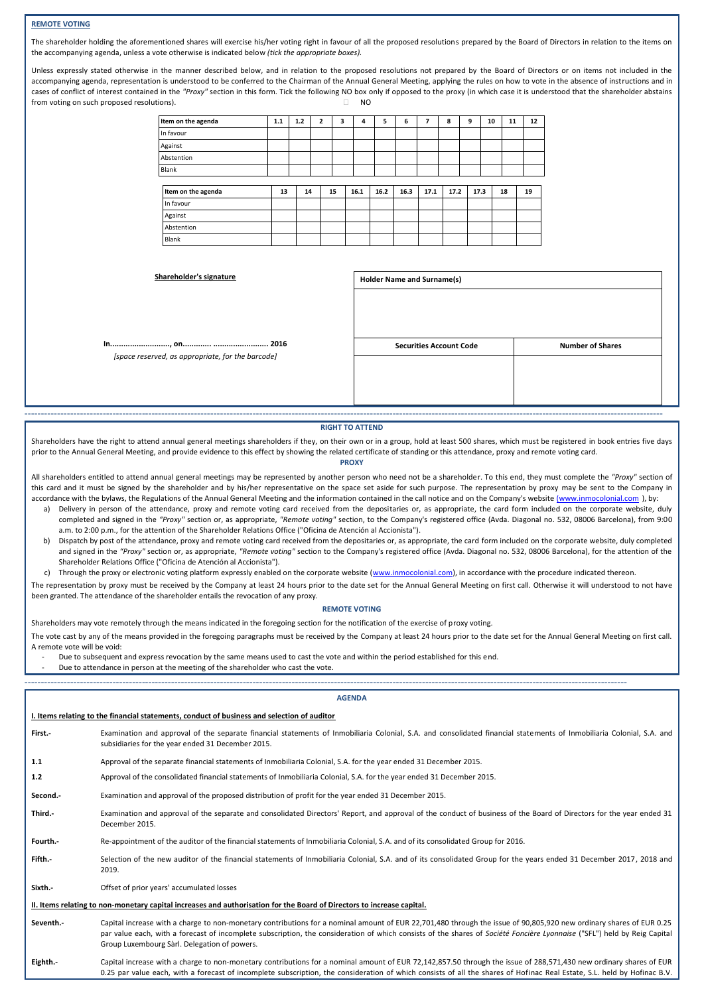## **REMOTE VOTING**

The shareholder holding the aforementioned shares will exercise his/her voting right in favour of all the proposed resolutions prepared by the Board of Directors in relation to the items on the accompanying agenda, unless a vote otherwise is indicated below *(tick the appropriate boxes).*

Unless expressly stated otherwise in the manner described below, and in relation to the proposed resolutions not prepared by the Board of Directors or on items not included in the accompanying agenda, representation is understood to be conferred to the Chairman of the Annual General Meeting, applying the rules on how to vote in the absence of instructions and in cases of conflict of interest contained in the "Proxy" section in this form. Tick the following NO box only if opposed to the proxy (in which case it is understood that the shareholder abstains from voting on such proposed resolutions).  $\Box$  NO

| Item on the agenda | 1.1 | 1.2 | $\overline{2}$ | 3  | 4    | 5    | 6    | 7    | 8    | 9 | 10   |    | 11 | 12 |
|--------------------|-----|-----|----------------|----|------|------|------|------|------|---|------|----|----|----|
| In favour          |     |     |                |    |      |      |      |      |      |   |      |    |    |    |
| Against            |     |     |                |    |      |      |      |      |      |   |      |    |    |    |
| Abstention         |     |     |                |    |      |      |      |      |      |   |      |    |    |    |
| Blank              |     |     |                |    |      |      |      |      |      |   |      |    |    |    |
|                    |     |     |                |    |      |      |      |      |      |   |      |    |    |    |
| Item on the agenda | 13  | 14  |                | 15 | 16.1 | 16.2 | 16.3 | 17.1 | 17.2 |   | 17.3 | 18 |    | 19 |
| In favour          |     |     |                |    |      |      |      |      |      |   |      |    |    |    |
| Against            |     |     |                |    |      |      |      |      |      |   |      |    |    |    |
| Abstention         |     |     |                |    |      |      |      |      |      |   |      |    |    |    |
| Blank              |     |     |                |    |      |      |      |      |      |   |      |    |    |    |

 $Shareholder's signature$ 

Blank

**In..........................., on............. ......................... 2016** *[space reserved, as appropriate, for the barcode]*

| Holder Name and Surname(s)     |                         |
|--------------------------------|-------------------------|
|                                |                         |
|                                |                         |
| <b>Securities Account Code</b> | <b>Number of Shares</b> |
|                                |                         |
|                                |                         |
|                                |                         |
|                                |                         |

-------------------------------------------------------------------------------------------------------------------------------------------------------------------------------------------------------

## **RIGHT TO ATTEND**

Shareholders have the right to attend annual general meetings shareholders if they, on their own or in a group, hold at least 500 shares, which must be registered in book entries five days prior to the Annual General Meeting, and provide evidence to this effect by showing the related certificate of standing or this attendance, proxy and remote voting card. **PROXY**

All shareholders entitled to attend annual general meetings may be represented by another person who need not be a shareholder. To this end, they must complete the *"Proxy"* section of this card and it must be signed by the shareholder and by his/her representative on the space set aside for such purpose. The representation by proxy may be sent to the Company in accordance with the bylaws, the Regulations of the Annual General Meeting and the information contained in the call notice and on the Company's website [\(www.inmocolonial.com](http://www.inmocolonial.com/) ), by:

- a) Delivery in person of the attendance, proxy and remote voting card received from the depositaries or, as appropriate, the card form included on the corporate website, duly completed and signed in the *"Proxy"* section or, as appropriate, *"Remote voting"* section, to the Company's registered office (Avda. Diagonal no. 532, 08006 Barcelona), from 9:00 a.m. to 2:00 p.m., for the attention of the Shareholder Relations Office ("Oficina de Atención al Accionista").
- b) Dispatch by post of the attendance, proxy and remote voting card received from the depositaries or, as appropriate, the card form included on the corporate website, duly completed and signed in the "Proxy" section or, as appropriate, "Remote voting" section to the Company's registered office (Avda. Diagonal no. 532, 08006 Barcelona), for the attention of the Shareholder Relations Office ("Oficina de Atención al Accionista").

c) Through the proxy or electronic voting platform expressly enabled on the corporate website [\(www.inmocolonial.com\)](http://www.inmocolonial.com/), in accordance with the procedure indicated thereon.

--------------------------------------------------------------------------------------------------------------------------------------------------------------------------------------------

The representation by proxy must be received by the Company at least 24 hours prior to the date set for the Annual General Meeting on first call. Otherwise it will understood to not have been granted. The attendance of the shareholder entails the revocation of any proxy.

## **REMOTE VOTING**

Shareholders may vote remotely through the means indicated in the foregoing section for the notification of the exercise of proxy voting.

The vote cast by any of the means provided in the foregoing paragraphs must be received by the Company at least 24 hours prior to the date set for the Annual General Meeting on first call. A remote vote will be void:

Due to subsequent and express revocation by the same means used to cast the vote and within the period established for this end.

Due to attendance in person at the meeting of the shareholder who cast the vote.

|                                                                                                                        | <b>AGENDA</b>                                                                                                                                                                                                                                                                                                                                                                                   |  |  |  |  |
|------------------------------------------------------------------------------------------------------------------------|-------------------------------------------------------------------------------------------------------------------------------------------------------------------------------------------------------------------------------------------------------------------------------------------------------------------------------------------------------------------------------------------------|--|--|--|--|
| I. Items relating to the financial statements, conduct of business and selection of auditor                            |                                                                                                                                                                                                                                                                                                                                                                                                 |  |  |  |  |
| First.-                                                                                                                | Examination and approval of the separate financial statements of Inmobiliaria Colonial, S.A. and consolidated financial statements of Inmobiliaria Colonial, S.A. and<br>subsidiaries for the year ended 31 December 2015.                                                                                                                                                                      |  |  |  |  |
| 1.1                                                                                                                    | Approval of the separate financial statements of Inmobiliaria Colonial, S.A. for the year ended 31 December 2015.                                                                                                                                                                                                                                                                               |  |  |  |  |
| 1.2                                                                                                                    | Approval of the consolidated financial statements of Inmobiliaria Colonial, S.A. for the year ended 31 December 2015.                                                                                                                                                                                                                                                                           |  |  |  |  |
| Second.-                                                                                                               | Examination and approval of the proposed distribution of profit for the year ended 31 December 2015.                                                                                                                                                                                                                                                                                            |  |  |  |  |
| Third.-                                                                                                                | Examination and approval of the separate and consolidated Directors' Report, and approval of the conduct of business of the Board of Directors for the year ended 31<br>December 2015.                                                                                                                                                                                                          |  |  |  |  |
| Fourth.-                                                                                                               | Re-appointment of the auditor of the financial statements of Inmobiliaria Colonial, S.A. and of its consolidated Group for 2016.                                                                                                                                                                                                                                                                |  |  |  |  |
| Fifth.-                                                                                                                | Selection of the new auditor of the financial statements of Inmobiliaria Colonial, S.A. and of its consolidated Group for the years ended 31 December 2017, 2018 and<br>2019.                                                                                                                                                                                                                   |  |  |  |  |
| Sixth.-                                                                                                                | Offset of prior years' accumulated losses                                                                                                                                                                                                                                                                                                                                                       |  |  |  |  |
| II. Items relating to non-monetary capital increases and authorisation for the Board of Directors to increase capital. |                                                                                                                                                                                                                                                                                                                                                                                                 |  |  |  |  |
| Seventh.-                                                                                                              | Capital increase with a charge to non-monetary contributions for a nominal amount of EUR 22,701,480 through the issue of 90,805,920 new ordinary shares of EUR 0.25<br>par value each, with a forecast of incomplete subscription, the consideration of which consists of the shares of Société Foncière Lyonnaise ("SFL") held by Reig Capital<br>Group Luxembourg Sàrl. Delegation of powers. |  |  |  |  |
| Eighth.-                                                                                                               | Capital increase with a charge to non-monetary contributions for a nominal amount of EUR 72,142,857.50 through the issue of 288,571,430 new ordinary shares of EUR<br>0.25 par value each, with a forecast of incomplete subscription, the consideration of which consists of all the shares of Hofinac Real Estate, S.L. held by Hofinac B.V.                                                  |  |  |  |  |